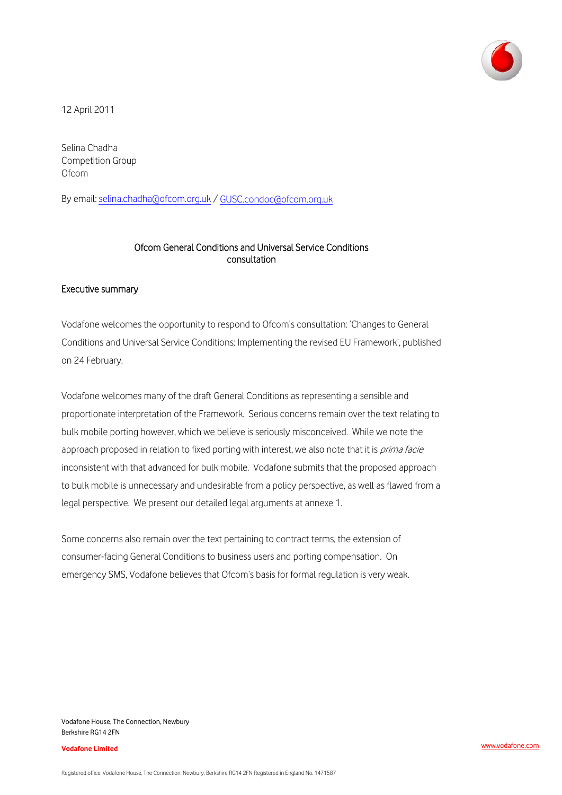

12 April 2011

Selina Chadha Competition Group **Ofcom** 

By email: [selina.chadha@ofcom.org.uk](mailto:selina.chadha@ofcom.org.uk) / [GUSC.condoc@ofcom.org.uk](mailto:GUSC.condoc@ofcom.org.uk) 

### Ofcom General Conditions and Universal Service Conditions consultation

#### Executive summary

Vodafone welcomes the opportunity to respond to Ofcom's consultation: 'Changes to General Conditions and Universal Service Conditions: Implementing the revised EU Framework', published on 24 February.

Vodafone welcomes many of the draft General Conditions as representing a sensible and proportionate interpretation of the Framework. Serious concerns remain over the text relating to bulk mobile porting however, which we believe is seriously misconceived. While we note the approach proposed in relation to fixed porting with interest, we also note that it is prima facie inconsistent with that advanced for bulk mobile. Vodafone submits that the proposed approach to bulk mobile is unnecessary and undesirable from a policy perspective, as well as flawed from a legal perspective. We present our detailed legal arguments at annexe 1.

Some concerns also remain over the text pertaining to contract terms, the extension of consumer-facing General Conditions to business users and porting compensation. On emergency SMS, Vodafone believes that Ofcom's basis for formal regulation is very weak.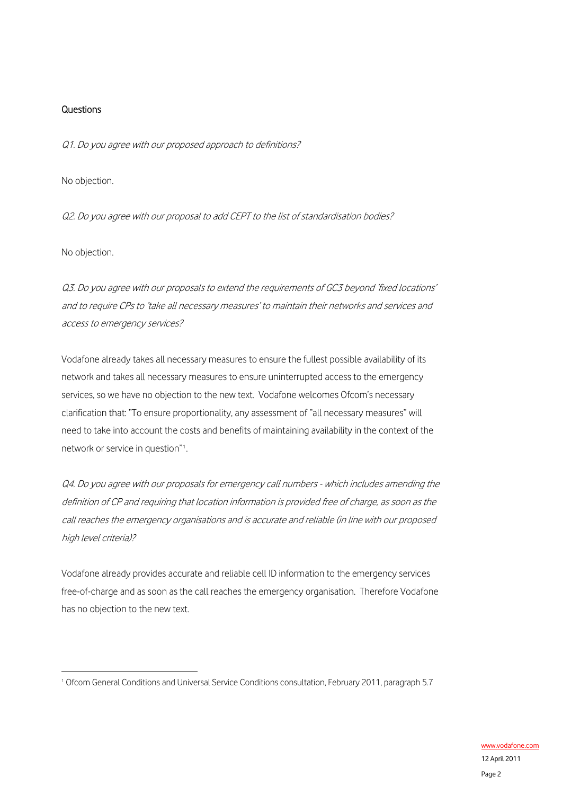### **Questions**

Q1. Do you agree with our proposed approach to definitions?

No objection.

Q2. Do you agree with our proposal to add CEPT to the list of standardisation bodies?

No objection.

1

Q3. Do you agree with our proposals to extend the requirements of GC3 beyond 'fixed locations' and to require CPs to 'take all necessary measures' to maintain their networks and services and access to emergency services?

Vodafone already takes all necessary measures to ensure the fullest possible availability of its network and takes all necessary measures to ensure uninterrupted access to the emergency services, so we have no objection to the new text. Vodafone welcomes Ofcom's necessary clarification that: "To ensure proportionality, any assessment of "all necessary measures" will need to take into account the costs and benefits of maintaining availability in the context of the network or service in question"[1](#page-1-0) .

Q4. Do you agree with our proposals for emergency call numbers - which includes amending the definition of CP and requiring that location information is provided free of charge, as soon as the call reaches the emergency organisations and is accurate and reliable (in line with our proposed high level criteria)?

Vodafone already provides accurate and reliable cell ID information to the emergency services free-of-charge and as soon as the call reaches the emergency organisation. Therefore Vodafone has no objection to the new text.

<span id="page-1-0"></span><sup>1</sup> Ofcom General Conditions and Universal Service Conditions consultation, February 2011, paragraph 5.7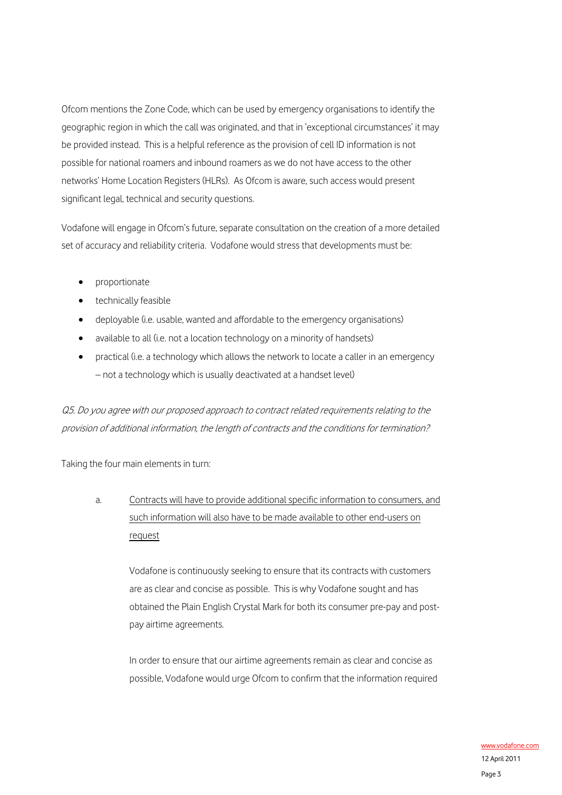Ofcom mentions the Zone Code, which can be used by emergency organisations to identify the geographic region in which the call was originated, and that in 'exceptional circumstances' it may be provided instead. This is a helpful reference as the provision of cell ID information is not possible for national roamers and inbound roamers as we do not have access to the other networks' Home Location Registers (HLRs). As Ofcom is aware, such access would present significant legal, technical and security questions.

Vodafone will engage in Ofcom's future, separate consultation on the creation of a more detailed set of accuracy and reliability criteria. Vodafone would stress that developments must be:

- proportionate
- technically feasible
- deployable (i.e. usable, wanted and affordable to the emergency organisations)
- available to all (i.e. not a location technology on a minority of handsets)
- practical (i.e. a technology which allows the network to locate a caller in an emergency – not a technology which is usually deactivated at a handset level)

Q5. Do you agree with our proposed approach to contract related requirements relating to the provision of additional information, the length of contracts and the conditions for termination?

Taking the four main elements in turn:

a. Contracts will have to provide additional specific information to consumers, and such information will also have to be made available to other end-users on request

> Vodafone is continuously seeking to ensure that its contracts with customers are as clear and concise as possible. This is why Vodafone sought and has obtained the Plain English Crystal Mark for both its consumer pre-pay and postpay airtime agreements.

> In order to ensure that our airtime agreements remain as clear and concise as possible, Vodafone would urge Ofcom to confirm that the information required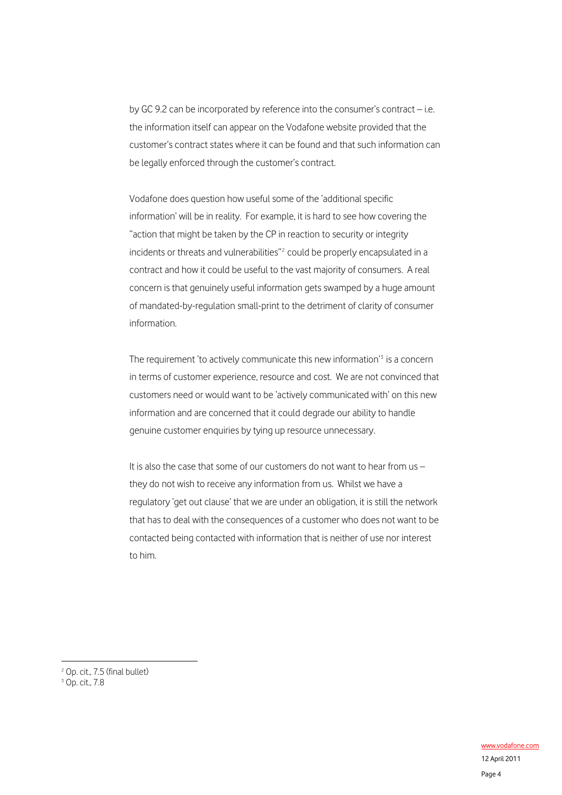by GC 9.2 can be incorporated by reference into the consumer's contract – i.e. the information itself can appear on the Vodafone website provided that the customer's contract states where it can be found and that such information can be legally enforced through the customer's contract.

Vodafone does question how useful some of the 'additional specific information' will be in reality. For example, it is hard to see how covering the "action that might be taken by the CP in reaction to security or integrity incidents or threats and vulnerabilities"<sup>[2](#page-3-0)</sup> could be properly encapsulated in a contract and how it could be useful to the vast majority of consumers. A real concern is that genuinely useful information gets swamped by a huge amount of mandated-by-regulation small-print to the detriment of clarity of consumer information.

The requirement 'to actively communicate this new information'<sup>[3](#page-3-1)</sup> is a concern in terms of customer experience, resource and cost. We are not convinced that customers need or would want to be 'actively communicated with' on this new information and are concerned that it could degrade our ability to handle genuine customer enquiries by tying up resource unnecessary.

It is also the case that some of our customers do not want to hear from us – they do not wish to receive any information from us. Whilst we have a regulatory 'get out clause' that we are under an obligation, it is still the network that has to deal with the consequences of a customer who does not want to be contacted being contacted with information that is neither of use nor interest to him.

<u>.</u>

<span id="page-3-1"></span><span id="page-3-0"></span><sup>2</sup> Op. cit., 7.5 (final bullet)

<sup>3</sup> Op. cit., 7.8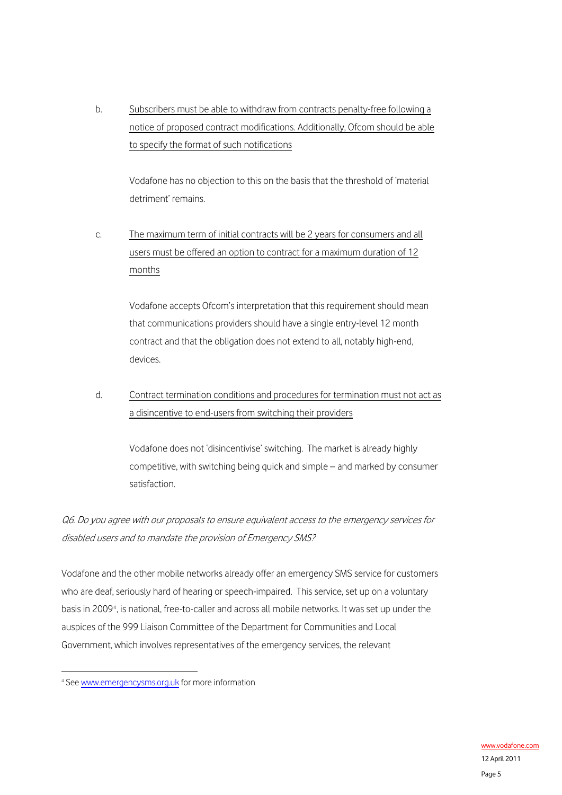b. Subscribers must be able to withdraw from contracts penalty-free following a notice of proposed contract modifications. Additionally, Ofcom should be able to specify the format of such notifications

Vodafone has no objection to this on the basis that the threshold of 'material detriment' remains.

c. The maximum term of initial contracts will be 2 years for consumers and all users must be offered an option to contract for a maximum duration of 12 months

> Vodafone accepts Ofcom's interpretation that this requirement should mean that communications providers should have a single entry-level 12 month contract and that the obligation does not extend to all, notably high-end, devices.

d. Contract termination conditions and procedures for termination must not act as a disincentive to end-users from switching their providers

Vodafone does not 'disincentivise' switching. The market is already highly competitive, with switching being quick and simple – and marked by consumer satisfaction.

Q6. Do you agree with our proposals to ensure equivalent access to the emergency services for disabled users and to mandate the provision of Emergency SMS?

Vodafone and the other mobile networks already offer an emergency SMS service for customers who are deaf, seriously hard of hearing or speech-impaired. This service, set up on a voluntary basis in 2009<sup>[4](#page-4-0)</sup>, is national, free-to-caller and across all mobile networks. It was set up under the auspices of the 999 Liaison Committee of the Department for Communities and Local Government, which involves representatives of the emergency services, the relevant

<span id="page-4-0"></span><sup>&</sup>lt;sup>4</sup> See [www.emergencysms.org.uk](http://www.emergencysms.org.uk/) for more information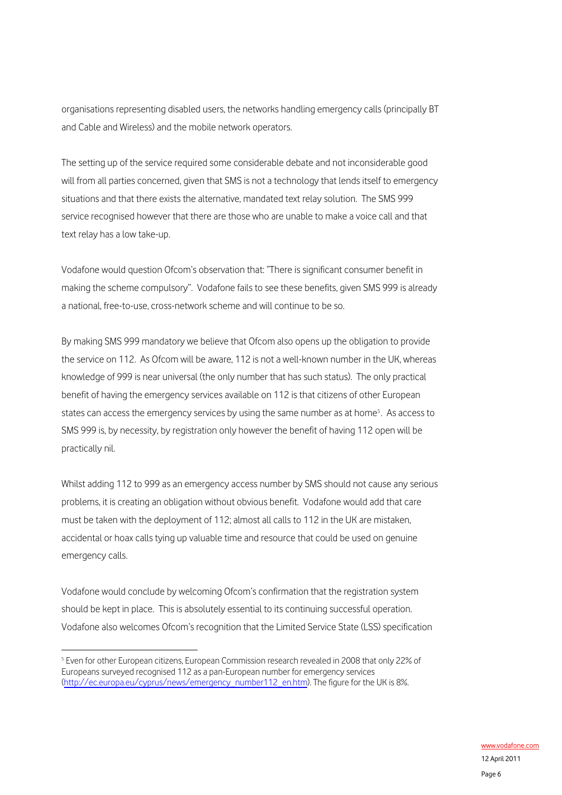organisations representing disabled users, the networks handling emergency calls (principally BT and Cable and Wireless) and the mobile network operators.

The setting up of the service required some considerable debate and not inconsiderable good will from all parties concerned, given that SMS is not a technology that lends itself to emergency situations and that there exists the alternative, mandated text relay solution. The SMS 999 service recognised however that there are those who are unable to make a voice call and that text relay has a low take-up.

Vodafone would question Ofcom's observation that: "There is significant consumer benefit in making the scheme compulsory". Vodafone fails to see these benefits, given SMS 999 is already a national, free-to-use, cross-network scheme and will continue to be so.

By making SMS 999 mandatory we believe that Ofcom also opens up the obligation to provide the service on 112. As Ofcom will be aware, 112 is not a well-known number in the UK, whereas knowledge of 999 is near universal (the only number that has such status). The only practical benefit of having the emergency services available on 112 is that citizens of other European states can access the emergency services by using the same number as at home<sup>[5](#page-5-0)</sup>. As access to SMS 999 is, by necessity, by registration only however the benefit of having 112 open will be practically nil.

Whilst adding 112 to 999 as an emergency access number by SMS should not cause any serious problems, it is creating an obligation without obvious benefit. Vodafone would add that care must be taken with the deployment of 112; almost all calls to 112 in the UK are mistaken, accidental or hoax calls tying up valuable time and resource that could be used on genuine emergency calls.

Vodafone would conclude by welcoming Ofcom's confirmation that the registration system should be kept in place. This is absolutely essential to its continuing successful operation. Vodafone also welcomes Ofcom's recognition that the Limited Service State (LSS) specification

<span id="page-5-0"></span><sup>1</sup> <sup>5</sup> Even for other European citizens, European Commission research revealed in 2008 that only 22% of Europeans surveyed recognised 112 as a pan-European number for emergency services ([http://ec.europa.eu/cyprus/news/emergency\\_number112\\_en.htm\)](http://ec.europa.eu/cyprus/news/emergency_number112_en.htm). The figure for the UK is 8%.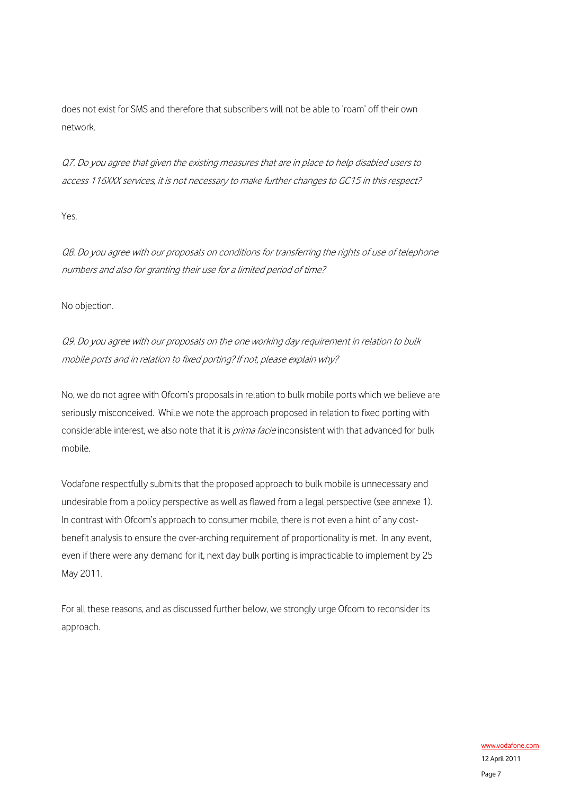does not exist for SMS and therefore that subscribers will not be able to 'roam' off their own network.

Q7. Do you agree that given the existing measures that are in place to help disabled users to access 116XXX services, it is not necessary to make further changes to GC15 in this respect?

Yes.

Q8. Do you agree with our proposals on conditions for transferring the rights of use of telephone numbers and also for granting their use for a limited period of time?

No objection.

Q9. Do you agree with our proposals on the one working day requirement in relation to bulk mobile ports and in relation to fixed porting? If not, please explain why?

No, we do not agree with Ofcom's proposals in relation to bulk mobile ports which we believe are seriously misconceived. While we note the approach proposed in relation to fixed porting with considerable interest, we also note that it is *prima facie* inconsistent with that advanced for bulk mobile.

Vodafone respectfully submits that the proposed approach to bulk mobile is unnecessary and undesirable from a policy perspective as well as flawed from a legal perspective (see annexe 1). In contrast with Ofcom's approach to consumer mobile, there is not even a hint of any costbenefit analysis to ensure the over-arching requirement of proportionality is met. In any event, even if there were any demand for it, next day bulk porting is impracticable to implement by 25 May 2011.

For all these reasons, and as discussed further below, we strongly urge Ofcom to reconsider its approach.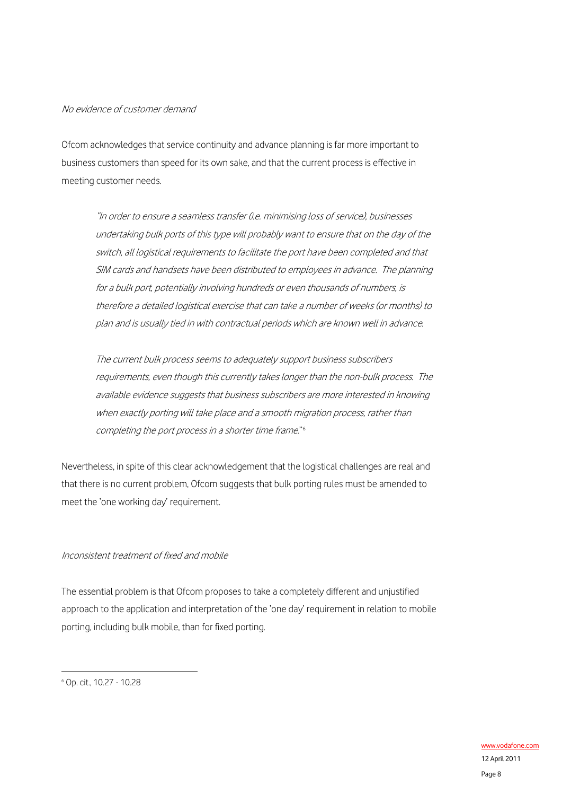### No evidence of customer demand

Ofcom acknowledges that service continuity and advance planning is far more important to business customers than speed for its own sake, and that the current process is effective in meeting customer needs.

"In order to ensure a seamless transfer (i.e. minimising loss of service), businesses undertaking bulk ports of this type will probably want to ensure that on the day of the switch, all logistical requirements to facilitate the port have been completed and that SIM cards and handsets have been distributed to employees in advance. The planning for a bulk port, potentially involving hundreds or even thousands of numbers, is therefore a detailed logistical exercise that can take a number of weeks (or months) to plan and is usually tied in with contractual periods which are known well in advance.

The current bulk process seems to adequately support business subscribers requirements, even though this currently takes longer than the non-bulk process. The available evidence suggests that business subscribers are more interested in knowing when exactly porting will take place and a smooth migration process, rather than completing the port process in a shorter time frame."[6](#page-7-0)

Nevertheless, in spite of this clear acknowledgement that the logistical challenges are real and that there is no current problem, Ofcom suggests that bulk porting rules must be amended to meet the 'one working day' requirement.

#### Inconsistent treatment of fixed and mobile

The essential problem is that Ofcom proposes to take a completely different and unjustified approach to the application and interpretation of the 'one day' requirement in relation to mobile porting, including bulk mobile, than for fixed porting.

<span id="page-7-0"></span><sup>6</sup> Op. cit., 10.27 - 10.28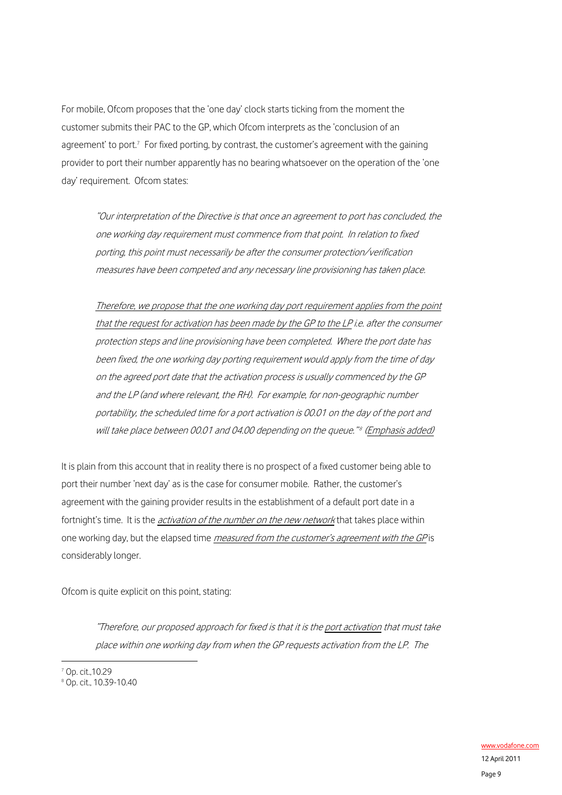For mobile, Ofcom proposes that the 'one day' clock starts ticking from the moment the customer submits their PAC to the GP, which Ofcom interprets as the 'conclusion of an agreement' to port.<sup>[7](#page-8-0)</sup> For fixed porting, by contrast, the customer's agreement with the gaining provider to port their number apparently has no bearing whatsoever on the operation of the 'one day' requirement. Ofcom states:

"Our interpretation of the Directive is that once an agreement to port has concluded, the one working day requirement must commence from that point. In relation to fixed porting, this point must necessarily be after the consumer protection/verification measures have been competed and any necessary line provisioning has taken place.

Therefore, we propose that the one working day port requirement applies from the point that the request for activation has been made by the GP to the LP i.e. after the consumer protection steps and line provisioning have been completed. Where the port date has been fixed, the one working day porting requirement would apply from the time of day on the agreed port date that the activation process is usually commenced by the GP and the LP (and where relevant, the RH). For example, for non-geographic number portability, the scheduled time for a port activation is 00.01 on the day of the port and will take place between 00.01 and 04.00 depending on the queue."<sup>8</sup> (Emphasis added)

It is plain from this account that in reality there is no prospect of a fixed customer being able to port their number 'next day' as is the case for consumer mobile. Rather, the customer's agreement with the gaining provider results in the establishment of a default port date in a fortnight's time. It is the *activation of the number on the new network* that takes place within one working day, but the elapsed time *measured from the customer's agreement with the GP* is considerably longer.

Ofcom is quite explicit on this point, stating:

"Therefore, our proposed approach for fixed is that it is the port activation that must take place within one working day from when the GP requests activation from the LP. The

<u>.</u>

<span id="page-8-0"></span><sup>7</sup> Op. cit.,10.29

<span id="page-8-1"></span><sup>8</sup> Op. cit., 10.39-10.40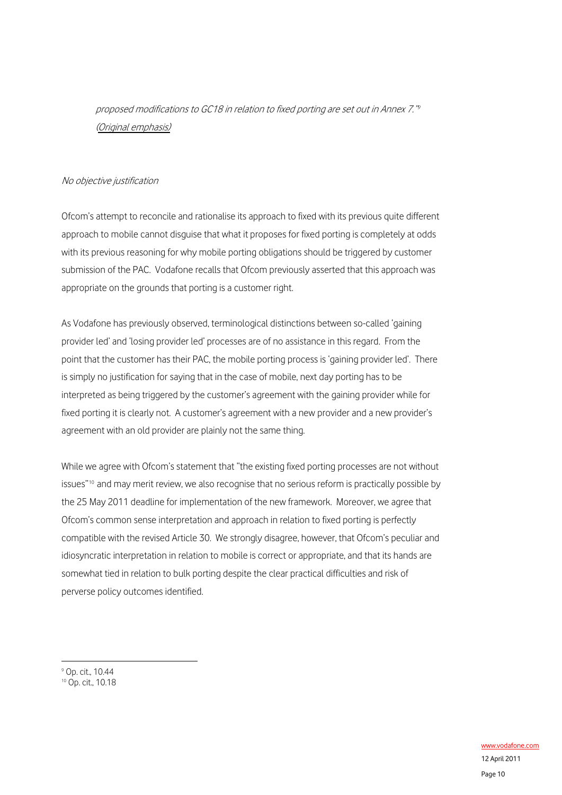proposed modifications to GC18 in relation to fixed porting are set out in Annex 7."[9](#page-9-0) (Original emphasis)

#### No objective justification

Ofcom's attempt to reconcile and rationalise its approach to fixed with its previous quite different approach to mobile cannot disguise that what it proposes for fixed porting is completely at odds with its previous reasoning for why mobile porting obligations should be triggered by customer submission of the PAC. Vodafone recalls that Ofcom previously asserted that this approach was appropriate on the grounds that porting is a customer right.

As Vodafone has previously observed, terminological distinctions between so-called 'gaining provider led' and 'losing provider led' processes are of no assistance in this regard. From the point that the customer has their PAC, the mobile porting process is 'gaining provider led'. There is simply no justification for saying that in the case of mobile, next day porting has to be interpreted as being triggered by the customer's agreement with the gaining provider while for fixed porting it is clearly not. A customer's agreement with a new provider and a new provider's agreement with an old provider are plainly not the same thing.

While we agree with Ofcom's statement that "the existing fixed porting processes are not without issues"[10](#page-9-1) and may merit review, we also recognise that no serious reform is practically possible by the 25 May 2011 deadline for implementation of the new framework. Moreover, we agree that Ofcom's common sense interpretation and approach in relation to fixed porting is perfectly compatible with the revised Article 30. We strongly disagree, however, that Ofcom's peculiar and idiosyncratic interpretation in relation to mobile is correct or appropriate, and that its hands are somewhat tied in relation to bulk porting despite the clear practical difficulties and risk of perverse policy outcomes identified.

<span id="page-9-0"></span>9 Op. cit., 10.44

<u>.</u>

<span id="page-9-1"></span><sup>10</sup> Op. cit., 10.18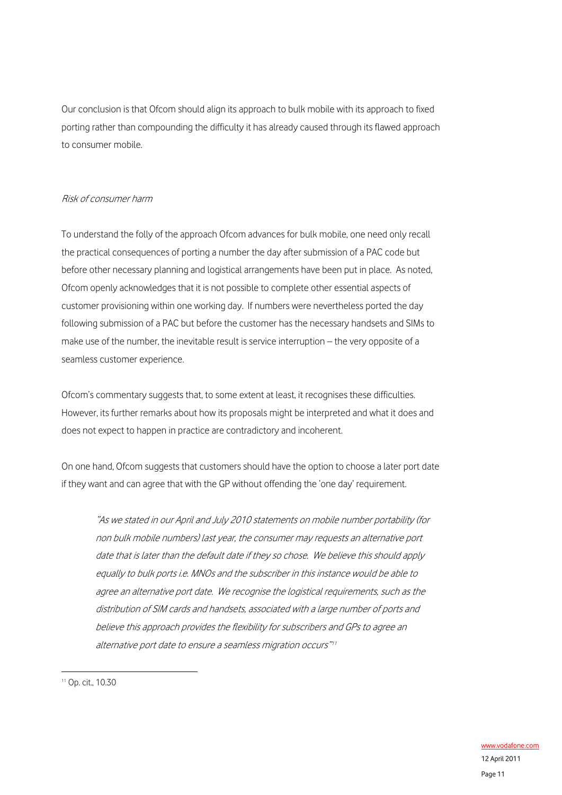Our conclusion is that Ofcom should align its approach to bulk mobile with its approach to fixed porting rather than compounding the difficulty it has already caused through its flawed approach to consumer mobile.

#### Risk of consumer harm

To understand the folly of the approach Ofcom advances for bulk mobile, one need only recall the practical consequences of porting a number the day after submission of a PAC code but before other necessary planning and logistical arrangements have been put in place. As noted, Ofcom openly acknowledges that it is not possible to complete other essential aspects of customer provisioning within one working day. If numbers were nevertheless ported the day following submission of a PAC but before the customer has the necessary handsets and SIMs to make use of the number, the inevitable result is service interruption – the very opposite of a seamless customer experience.

Ofcom's commentary suggests that, to some extent at least, it recognises these difficulties. However, its further remarks about how its proposals might be interpreted and what it does and does not expect to happen in practice are contradictory and incoherent.

On one hand, Ofcom suggests that customers should have the option to choose a later port date if they want and can agree that with the GP without offending the 'one day' requirement.

"As we stated in our April and July 2010 statements on mobile number portability (for non bulk mobile numbers) last year, the consumer may requests an alternative port date that is later than the default date if they so chose. We believe this should apply equally to bulk ports i.e. MNOs and the subscriber in this instance would be able to agree an alternative port date. We recognise the logistical requirements, such as the distribution of SIM cards and handsets, associated with a large number of ports and believe this approach provides the flexibility for subscribers and GPs to agree an alternative port date to ensure a seamless migration occurs"<sup>[11](#page-10-0)</sup>

<span id="page-10-0"></span><sup>11</sup> Op. cit., 10.30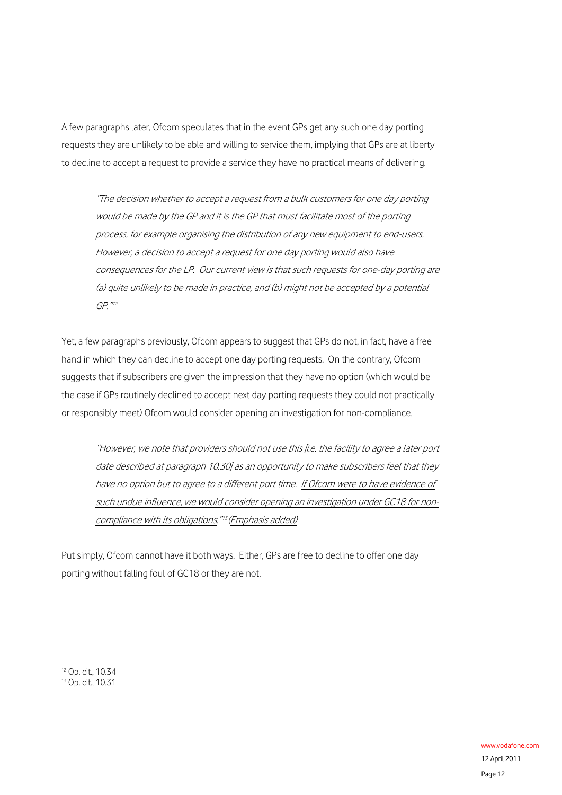A few paragraphs later, Ofcom speculates that in the event GPs get any such one day porting requests they are unlikely to be able and willing to service them, implying that GPs are at liberty to decline to accept a request to provide a service they have no practical means of delivering.

"The decision whether to accept a request from a bulk customers for one day porting would be made by the GP and it is the GP that must facilitate most of the porting process, for example organising the distribution of any new equipment to end-users. However, a decision to accept a request for one day porting would also have consequences for the LP. Our current view is that such requests for one-day porting are (a) quite unlikely to be made in practice, and (b) might not be accepted by a potential GP."[12](#page-11-0)

Yet, a few paragraphs previously, Ofcom appears to suggest that GPs do not, in fact, have a free hand in which they can decline to accept one day porting requests. On the contrary, Ofcom suggests that if subscribers are given the impression that they have no option (which would be the case if GPs routinely declined to accept next day porting requests they could not practically or responsibly meet) Ofcom would consider opening an investigation for non-compliance.

"However, we note that providers should not use this [i.e. the facility to agree a later port date described at paragraph 10.30] as an opportunity to make subscribers feel that they have no option but to agree to a different port time. If Ofcom were to have evidence of such undue influence, we would consider opening an investigation under GC18 for non-compliance with its obligations."<sup>[13](#page-11-1)</sup> (Emphasis added)

Put simply, Ofcom cannot have it both ways. Either, GPs are free to decline to offer one day porting without falling foul of GC18 or they are not.

<u>.</u>

<span id="page-11-0"></span><sup>12</sup> Op. cit., 10.34

<span id="page-11-1"></span><sup>&</sup>lt;sup>13</sup> Op. cit., 10.31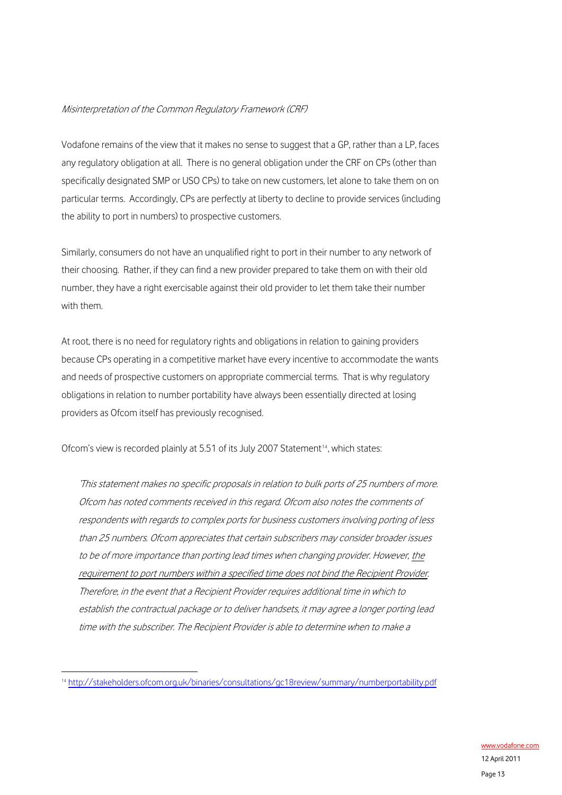### Misinterpretation of the Common Regulatory Framework (CRF)

Vodafone remains of the view that it makes no sense to suggest that a GP, rather than a LP, faces any regulatory obligation at all. There is no general obligation under the CRF on CPs (other than specifically designated SMP or USO CPs) to take on new customers, let alone to take them on on particular terms. Accordingly, CPs are perfectly at liberty to decline to provide services (including the ability to port in numbers) to prospective customers.

Similarly, consumers do not have an unqualified right to port in their number to any network of their choosing. Rather, if they can find a new provider prepared to take them on with their old number, they have a right exercisable against their old provider to let them take their number with them.

At root, there is no need for regulatory rights and obligations in relation to gaining providers because CPs operating in a competitive market have every incentive to accommodate the wants and needs of prospective customers on appropriate commercial terms. That is why regulatory obligations in relation to number portability have always been essentially directed at losing providers as Ofcom itself has previously recognised.

Ofcom's view is recorded plainly at 5.51 of its July 2007 Statement<sup>[14](#page-12-0)</sup>, which states:

'This statement makes no specific proposals in relation to bulk ports of 25 numbers of more. Ofcom has noted comments received in this regard. Ofcom also notes the comments of respondents with regards to complex ports for business customers involving porting of less than 25 numbers. Ofcom appreciates that certain subscribers may consider broader issues to be of more importance than porting lead times when changing provider. However, the requirement to port numbers within a specified time does not bind the Recipient Provider. Therefore, in the event that a Recipient Provider requires additional time in which to establish the contractual package or to deliver handsets, it may agree a longer porting lead time with the subscriber. The Recipient Provider is able to determine when to make a

<span id="page-12-0"></span><sup>14</sup> <http://stakeholders.ofcom.org.uk/binaries/consultations/gc18review/summary/numberportability.pdf>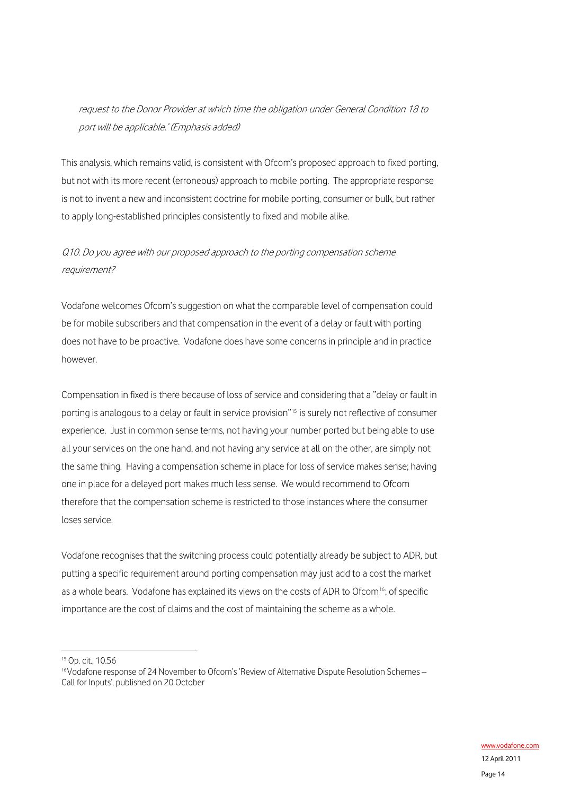# request to the Donor Provider at which time the obligation under General Condition 18 to port will be applicable.' (Emphasis added)

This analysis, which remains valid, is consistent with Ofcom's proposed approach to fixed porting, but not with its more recent (erroneous) approach to mobile porting. The appropriate response is not to invent a new and inconsistent doctrine for mobile porting, consumer or bulk, but rather to apply long-established principles consistently to fixed and mobile alike.

# Q10. Do you agree with our proposed approach to the porting compensation scheme requirement?

Vodafone welcomes Ofcom's suggestion on what the comparable level of compensation could be for mobile subscribers and that compensation in the event of a delay or fault with porting does not have to be proactive. Vodafone does have some concerns in principle and in practice however.

Compensation in fixed is there because of loss of service and considering that a "delay or fault in porting is analogous to a delay or fault in service provision"<sup>[15](#page-13-0)</sup> is surely not reflective of consumer experience. Just in common sense terms, not having your number ported but being able to use all your services on the one hand, and not having any service at all on the other, are simply not the same thing. Having a compensation scheme in place for loss of service makes sense; having one in place for a delayed port makes much less sense. We would recommend to Ofcom therefore that the compensation scheme is restricted to those instances where the consumer loses service.

Vodafone recognises that the switching process could potentially already be subject to ADR, but putting a specific requirement around porting compensation may just add to a cost the market as a whole bears. Vodafone has explained its views on the costs of ADR to Ofcom<sup>[16](#page-13-1)</sup>; of specific importance are the cost of claims and the cost of maintaining the scheme as a whole.

<span id="page-13-0"></span><sup>&</sup>lt;sup>15</sup> Op. cit., 10.56

<span id="page-13-1"></span><sup>&</sup>lt;sup>16</sup> Vodafone response of 24 November to Ofcom's 'Review of Alternative Dispute Resolution Schemes -Call for Inputs', published on 20 October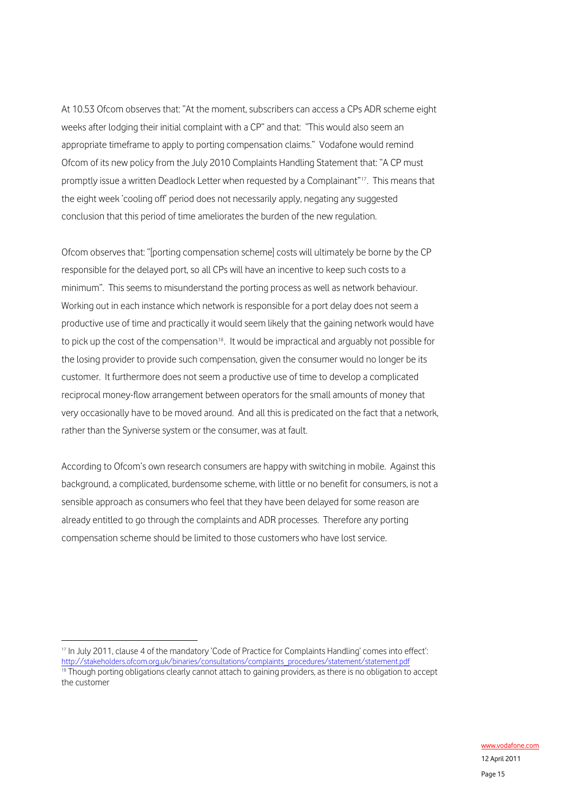At 10.53 Ofcom observes that: "At the moment, subscribers can access a CPs ADR scheme eight weeks after lodging their initial complaint with a CP" and that: "This would also seem an appropriate timeframe to apply to porting compensation claims." Vodafone would remind Ofcom of its new policy from the July 2010 Complaints Handling Statement that: "A CP must promptly issue a written Deadlock Letter when requested by a Complainant"<sup>[17](#page-14-0)</sup>. This means that the eight week 'cooling off' period does not necessarily apply, negating any suggested conclusion that this period of time ameliorates the burden of the new regulation.

Ofcom observes that: "[porting compensation scheme] costs will ultimately be borne by the CP responsible for the delayed port, so all CPs will have an incentive to keep such costs to a minimum". This seems to misunderstand the porting process as well as network behaviour. Working out in each instance which network is responsible for a port delay does not seem a productive use of time and practically it would seem likely that the gaining network would have to pick up the cost of the compensation<sup>[18](#page-14-1)</sup>. It would be impractical and arguably not possible for the losing provider to provide such compensation, given the consumer would no longer be its customer. It furthermore does not seem a productive use of time to develop a complicated reciprocal money-flow arrangement between operators for the small amounts of money that very occasionally have to be moved around. And all this is predicated on the fact that a network, rather than the Syniverse system or the consumer, was at fault.

According to Ofcom's own research consumers are happy with switching in mobile. Against this background, a complicated, burdensome scheme, with little or no benefit for consumers, is not a sensible approach as consumers who feel that they have been delayed for some reason are already entitled to go through the complaints and ADR processes. Therefore any porting compensation scheme should be limited to those customers who have lost service.

<span id="page-14-0"></span><sup>&</sup>lt;sup>17</sup> In July 2011, clause 4 of the mandatory 'Code of Practice for Complaints Handling' comes into effect':<br>http://stakeholders.ofcom.org.uk/binaries/consultations/complaints\_procedures/statement/statement.pdf

<span id="page-14-1"></span> $18$  Though porting obligations clearly cannot attach to gaining providers, as there is no obligation to accept the customer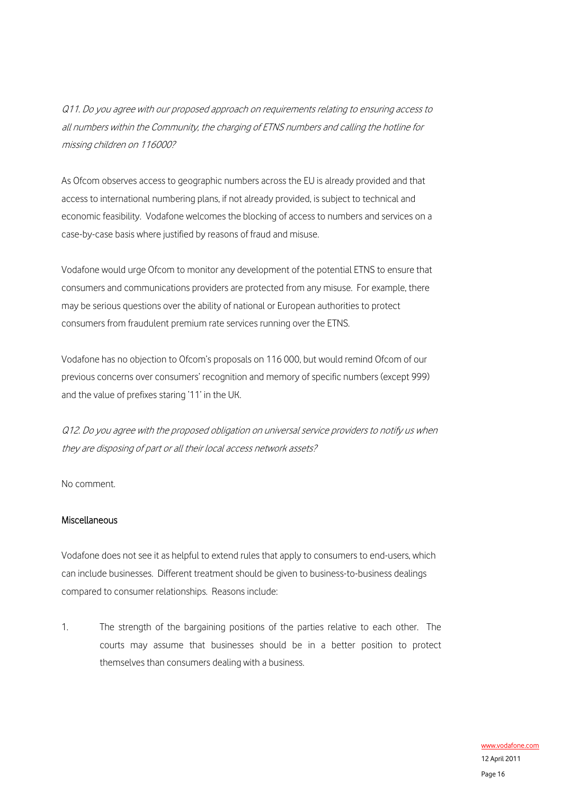Q11. Do you agree with our proposed approach on requirements relating to ensuring access to all numbers within the Community, the charging of ETNS numbers and calling the hotline for missing children on 116000?

As Ofcom observes access to geographic numbers across the EU is already provided and that access to international numbering plans, if not already provided, is subject to technical and economic feasibility. Vodafone welcomes the blocking of access to numbers and services on a case-by-case basis where justified by reasons of fraud and misuse.

Vodafone would urge Ofcom to monitor any development of the potential ETNS to ensure that consumers and communications providers are protected from any misuse. For example, there may be serious questions over the ability of national or European authorities to protect consumers from fraudulent premium rate services running over the ETNS.

Vodafone has no objection to Ofcom's proposals on 116 000, but would remind Ofcom of our previous concerns over consumers' recognition and memory of specific numbers (except 999) and the value of prefixes staring '11' in the UK.

Q12. Do you agree with the proposed obligation on universal service providers to notify us when they are disposing of part or all their local access network assets?

No comment.

#### Miscellaneous

Vodafone does not see it as helpful to extend rules that apply to consumers to end-users, which can include businesses. Different treatment should be given to business-to-business dealings compared to consumer relationships. Reasons include:

1. The strength of the bargaining positions of the parties relative to each other. The courts may assume that businesses should be in a better position to protect themselves than consumers dealing with a business.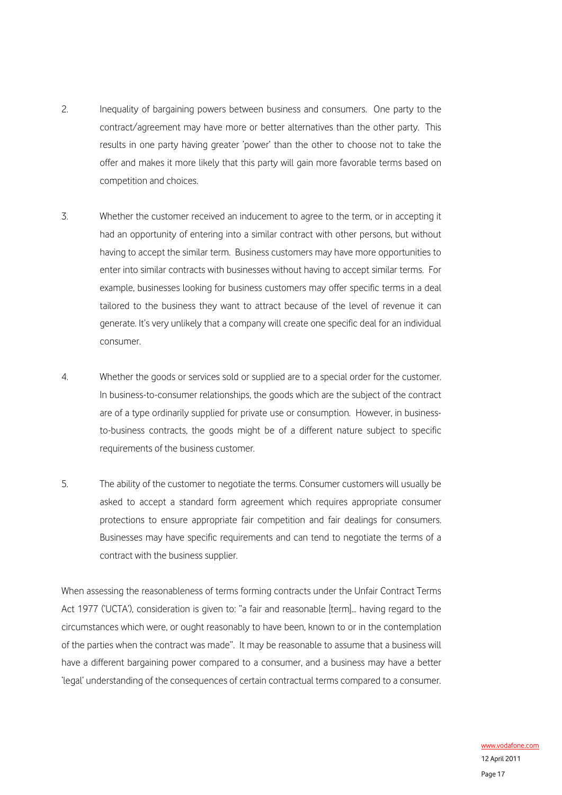- 2. Inequality of bargaining powers between business and consumers. One party to the contract/agreement may have more or better alternatives than the other party. This results in one party having greater 'power' than the other to choose not to take the offer and makes it more likely that this party will gain more favorable terms based on competition and choices.
- 3. Whether the customer received an inducement to agree to the term, or in accepting it had an opportunity of entering into a similar contract with other persons, but without having to accept the similar term. Business customers may have more opportunities to enter into similar contracts with businesses without having to accept similar terms. For example, businesses looking for business customers may offer specific terms in a deal tailored to the business they want to attract because of the level of revenue it can generate. It's very unlikely that a company will create one specific deal for an individual consumer.
- 4. Whether the goods or services sold or supplied are to a special order for the customer. In business-to-consumer relationships, the goods which are the subject of the contract are of a type ordinarily supplied for private use or consumption. However, in businessto-business contracts, the goods might be of a different nature subject to specific requirements of the business customer.
- 5. The ability of the customer to negotiate the terms. Consumer customers will usually be asked to accept a standard form agreement which requires appropriate consumer protections to ensure appropriate fair competition and fair dealings for consumers. Businesses may have specific requirements and can tend to negotiate the terms of a contract with the business supplier.

When assessing the reasonableness of terms forming contracts under the Unfair Contract Terms Act 1977 ('UCTA'), consideration is given to: "a fair and reasonable [term]... having regard to the circumstances which were, or ought reasonably to have been, known to or in the contemplation of the parties when the contract was made". It may be reasonable to assume that a business will have a different bargaining power compared to a consumer, and a business may have a better 'legal' understanding of the consequences of certain contractual terms compared to a consumer.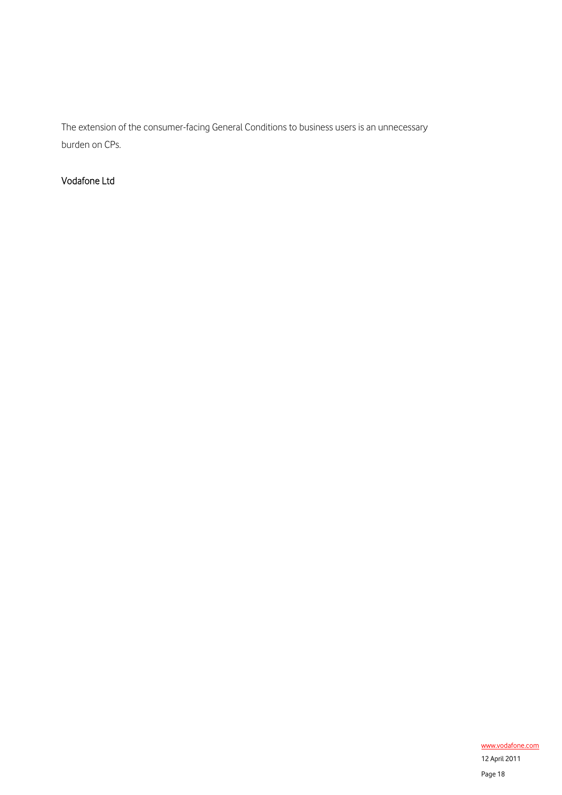The extension of the consumer-facing General Conditions to business users is an unnecessary burden on CPs.

## Vodafone Ltd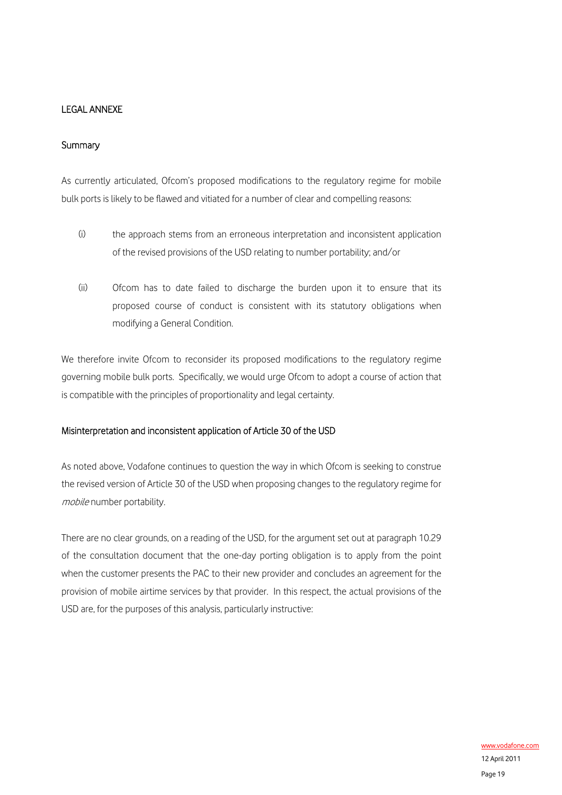### LEGAL ANNEXE

#### **Summary**

As currently articulated, Ofcom's proposed modifications to the regulatory regime for mobile bulk ports is likely to be flawed and vitiated for a number of clear and compelling reasons:

- (i) the approach stems from an erroneous interpretation and inconsistent application of the revised provisions of the USD relating to number portability; and/or
- (ii) Ofcom has to date failed to discharge the burden upon it to ensure that its proposed course of conduct is consistent with its statutory obligations when modifying a General Condition.

We therefore invite Ofcom to reconsider its proposed modifications to the regulatory regime governing mobile bulk ports. Specifically, we would urge Ofcom to adopt a course of action that is compatible with the principles of proportionality and legal certainty.

#### Misinterpretation and inconsistent application of Article 30 of the USD

As noted above, Vodafone continues to question the way in which Ofcom is seeking to construe the revised version of Article 30 of the USD when proposing changes to the regulatory regime for mobile number portability.

There are no clear grounds, on a reading of the USD, for the argument set out at paragraph 10.29 of the consultation document that the one-day porting obligation is to apply from the point when the customer presents the PAC to their new provider and concludes an agreement for the provision of mobile airtime services by that provider. In this respect, the actual provisions of the USD are, for the purposes of this analysis, particularly instructive: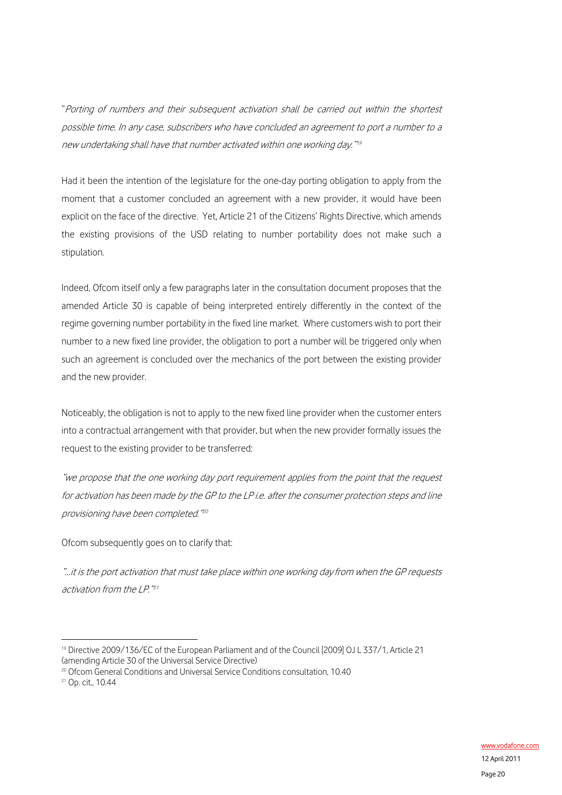"Porting of numbers and their subsequent activation shall be carried out within the shortest possible time. In any case, subscribers who have concluded an agreement to port a number to a new undertaking shall have that number activated within one working day."[19](#page-19-0)

Had it been the intention of the legislature for the one-day porting obligation to apply from the moment that a customer concluded an agreement with a new provider, it would have been explicit on the face of the directive. Yet, Article 21 of the Citizens' Rights Directive, which amends the existing provisions of the USD relating to number portability does not make such a stipulation.

Indeed, Ofcom itself only a few paragraphs later in the consultation document proposes that the amended Article 30 is capable of being interpreted entirely differently in the context of the regime governing number portability in the fixed line market. Where customers wish to port their number to a new fixed line provider, the obligation to port a number will be triggered only when such an agreement is concluded over the mechanics of the port between the existing provider and the new provider.

Noticeably, the obligation is not to apply to the new fixed line provider when the customer enters into a contractual arrangement with that provider, but when the new provider formally issues the request to the existing provider to be transferred:

"we propose that the one working day port requirement applies from the point that the request for activation has been made by the GP to the LP i.e. after the consumer protection steps and line provisioning have been completed."[20](#page-19-1)

Ofcom subsequently goes on to clarify that:

"…it is the port activation that must take place within one working dayfrom when the GP requests activation from the LP."[21](#page-19-2)

<span id="page-19-0"></span><sup>19</sup> Directive 2009/136/EC of the European Parliament and of the Council [2009] OJ L 337/1, Article 21 (amending Article 30 of the Universal Service Directive)

<span id="page-19-2"></span><span id="page-19-1"></span><sup>&</sup>lt;sup>20</sup> Ofcom General Conditions and Universal Service Conditions consultation, 10.40<br><sup>21</sup> Op. cit., 10.44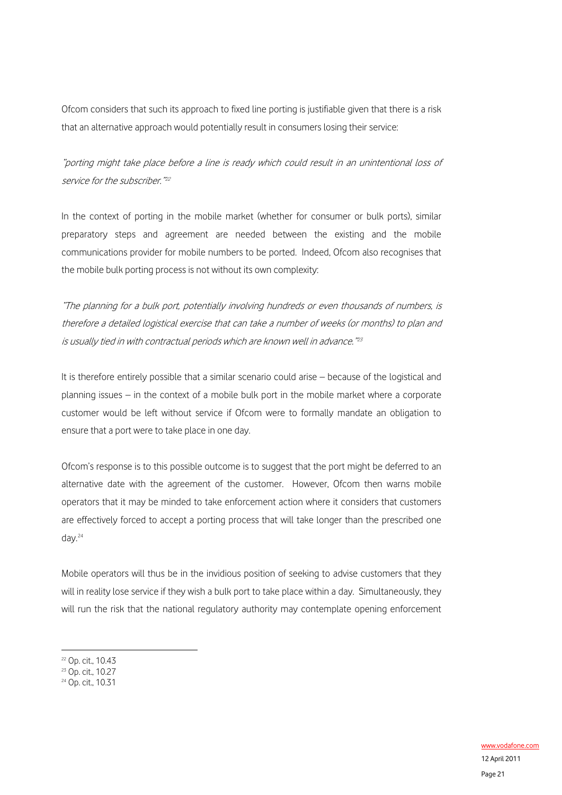Ofcom considers that such its approach to fixed line porting is justifiable given that there is a risk that an alternative approach would potentially result in consumers losing their service:

"porting might take place before a line is ready which could result in an unintentional loss of service for the subscriber."<sup>[22](#page-20-0)</sup>

In the context of porting in the mobile market (whether for consumer or bulk ports), similar preparatory steps and agreement are needed between the existing and the mobile communications provider for mobile numbers to be ported. Indeed, Ofcom also recognises that the mobile bulk porting process is not without its own complexity:

"The planning for a bulk port, potentially involving hundreds or even thousands of numbers, is therefore a detailed logistical exercise that can take a number of weeks (or months) to plan and is usually tied in with contractual periods which are known well in advance."<sup>[23](#page-20-1)</sup>

It is therefore entirely possible that a similar scenario could arise – because of the logistical and planning issues – in the context of a mobile bulk port in the mobile market where a corporate customer would be left without service if Ofcom were to formally mandate an obligation to ensure that a port were to take place in one day.

Ofcom's response is to this possible outcome is to suggest that the port might be deferred to an alternative date with the agreement of the customer. However, Ofcom then warns mobile operators that it may be minded to take enforcement action where it considers that customers are effectively forced to accept a porting process that will take longer than the prescribed one day.[24](#page-20-2)

Mobile operators will thus be in the invidious position of seeking to advise customers that they will in reality lose service if they wish a bulk port to take place within a day. Simultaneously, they will run the risk that the national regulatory authority may contemplate opening enforcement

<span id="page-20-0"></span><sup>22</sup> Op. cit., 10.43

<span id="page-20-1"></span><sup>&</sup>lt;sup>23</sup> Op. cit., 10.27

<span id="page-20-2"></span><sup>&</sup>lt;sup>24</sup> Op. cit., 10.31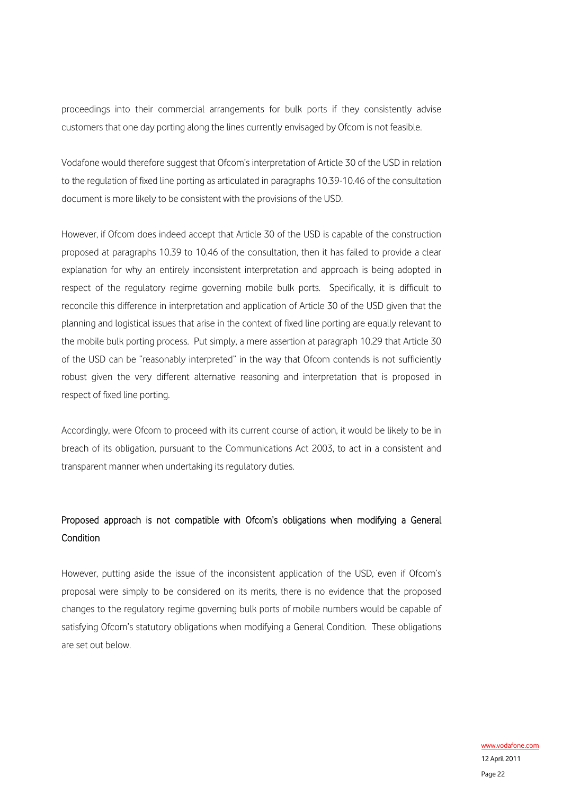proceedings into their commercial arrangements for bulk ports if they consistently advise customers that one day porting along the lines currently envisaged by Ofcom is not feasible.

Vodafone would therefore suggest that Ofcom's interpretation of Article 30 of the USD in relation to the regulation of fixed line porting as articulated in paragraphs 10.39-10.46 of the consultation document is more likely to be consistent with the provisions of the USD.

However, if Ofcom does indeed accept that Article 30 of the USD is capable of the construction proposed at paragraphs 10.39 to 10.46 of the consultation, then it has failed to provide a clear explanation for why an entirely inconsistent interpretation and approach is being adopted in respect of the regulatory regime governing mobile bulk ports. Specifically, it is difficult to reconcile this difference in interpretation and application of Article 30 of the USD given that the planning and logistical issues that arise in the context of fixed line porting are equally relevant to the mobile bulk porting process. Put simply, a mere assertion at paragraph 10.29 that Article 30 of the USD can be "reasonably interpreted" in the way that Ofcom contends is not sufficiently robust given the very different alternative reasoning and interpretation that is proposed in respect of fixed line porting.

Accordingly, were Ofcom to proceed with its current course of action, it would be likely to be in breach of its obligation, pursuant to the Communications Act 2003, to act in a consistent and transparent manner when undertaking its regulatory duties.

## Proposed approach is not compatible with Ofcom's obligations when modifying a General Condition

However, putting aside the issue of the inconsistent application of the USD, even if Ofcom's proposal were simply to be considered on its merits, there is no evidence that the proposed changes to the regulatory regime governing bulk ports of mobile numbers would be capable of satisfying Ofcom's statutory obligations when modifying a General Condition. These obligations are set out below.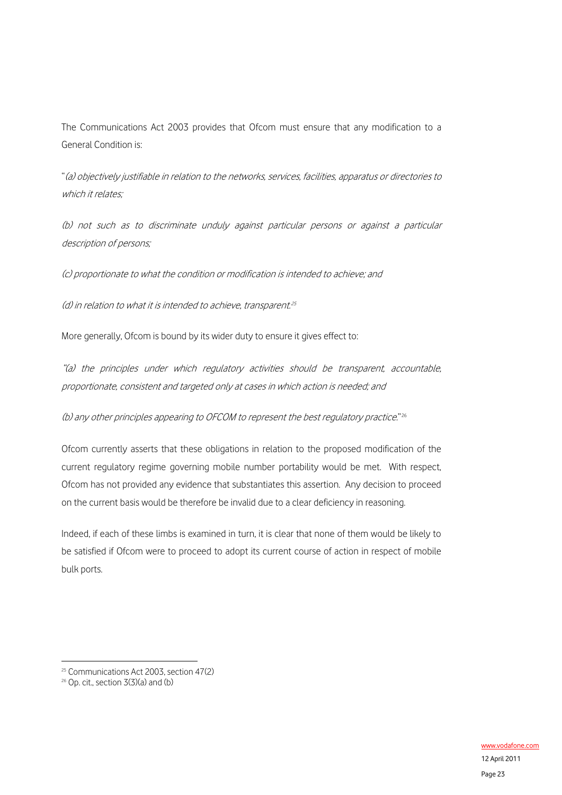The Communications Act 2003 provides that Ofcom must ensure that any modification to a General Condition is:

"(a) objectively justifiable in relation to the networks, services, facilities, apparatus or directories to which it relates:

(b) not such as to discriminate unduly against particular persons or against a particular description of persons;

(c) proportionate to what the condition or modification is intended to achieve; and

 $(d)$  in relation to what it is intended to achieve, transparent.<sup>[25](#page-22-0)</sup>

More generally, Ofcom is bound by its wider duty to ensure it gives effect to:

"(a) the principles under which regulatory activities should be transparent, accountable, proportionate, consistent and targeted only at cases in which action is needed; and

(b) any other principles appearing to OFCOM to represent the best regulatory practice."[26](#page-22-1)

Ofcom currently asserts that these obligations in relation to the proposed modification of the current regulatory regime governing mobile number portability would be met. With respect, Ofcom has not provided any evidence that substantiates this assertion. Any decision to proceed on the current basis would be therefore be invalid due to a clear deficiency in reasoning.

Indeed, if each of these limbs is examined in turn, it is clear that none of them would be likely to be satisfied if Ofcom were to proceed to adopt its current course of action in respect of mobile bulk ports.

<u>.</u>

<span id="page-22-0"></span><sup>&</sup>lt;sup>25</sup> Communications Act 2003, section 47(2)

<span id="page-22-1"></span> $26$  Op. cit., section  $3(3)(a)$  and (b)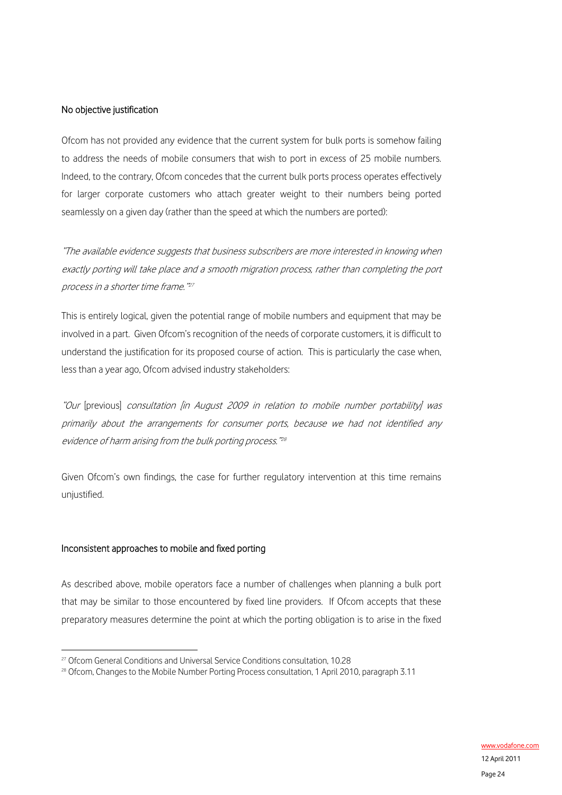#### No objective justification

Ofcom has not provided any evidence that the current system for bulk ports is somehow failing to address the needs of mobile consumers that wish to port in excess of 25 mobile numbers. Indeed, to the contrary, Ofcom concedes that the current bulk ports process operates effectively for larger corporate customers who attach greater weight to their numbers being ported seamlessly on a given day (rather than the speed at which the numbers are ported):

"The available evidence suggests that business subscribers are more interested in knowing when exactly porting will take place and a smooth migration process, rather than completing the port process in a shorter time frame."[27](#page-23-0)

This is entirely logical, given the potential range of mobile numbers and equipment that may be involved in a part. Given Ofcom's recognition of the needs of corporate customers, it is difficult to understand the justification for its proposed course of action. This is particularly the case when, less than a year ago, Ofcom advised industry stakeholders:

"Our [previous] consultation [in August 2009 in relation to mobile number portability] was primarily about the arrangements for consumer ports, because we had not identified any evidence of harm arising from the bulk porting process."[28](#page-23-1)

Given Ofcom's own findings, the case for further regulatory intervention at this time remains unjustified.

#### Inconsistent approaches to mobile and fixed porting

1

As described above, mobile operators face a number of challenges when planning a bulk port that may be similar to those encountered by fixed line providers. If Ofcom accepts that these preparatory measures determine the point at which the porting obligation is to arise in the fixed

<span id="page-23-1"></span><span id="page-23-0"></span><sup>&</sup>lt;sup>27</sup> Ofcom General Conditions and Universal Service Conditions consultation, 10.28<br><sup>28</sup> Ofcom, Changes to the Mobile Number Porting Process consultation, 1 April 2010, paragraph 3.11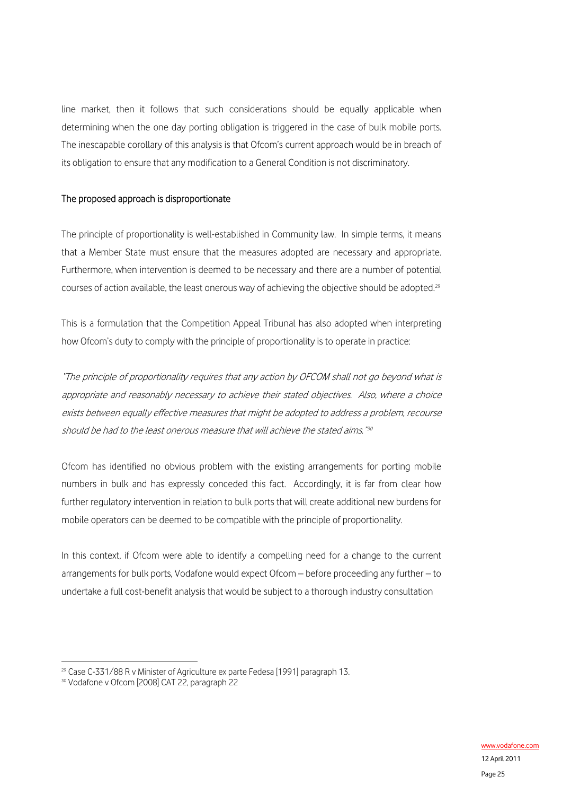line market, then it follows that such considerations should be equally applicable when determining when the one day porting obligation is triggered in the case of bulk mobile ports. The inescapable corollary of this analysis is that Ofcom's current approach would be in breach of its obligation to ensure that any modification to a General Condition is not discriminatory.

#### The proposed approach is disproportionate

The principle of proportionality is well-established in Community law. In simple terms, it means that a Member State must ensure that the measures adopted are necessary and appropriate. Furthermore, when intervention is deemed to be necessary and there are a number of potential courses of action available, the least onerous way of achieving the objective should be adopted.<sup>[29](#page-24-0)</sup>

This is a formulation that the Competition Appeal Tribunal has also adopted when interpreting how Ofcom's duty to comply with the principle of proportionality is to operate in practice:

"The principle of proportionality requires that any action by OFCOM shall not go beyond what is appropriate and reasonably necessary to achieve their stated objectives. Also, where a choice exists between equally effective measures that might be adopted to address a problem, recourse should be had to the least onerous measure that will achieve the stated aims."<sup>[30](#page-24-1)</sup>

Ofcom has identified no obvious problem with the existing arrangements for porting mobile numbers in bulk and has expressly conceded this fact. Accordingly, it is far from clear how further regulatory intervention in relation to bulk ports that will create additional new burdens for mobile operators can be deemed to be compatible with the principle of proportionality.

In this context, if Ofcom were able to identify a compelling need for a change to the current arrangements for bulk ports, Vodafone would expect Ofcom – before proceeding any further – to undertake a full cost-benefit analysis that would be subject to a thorough industry consultation

<u>.</u>

<span id="page-24-0"></span><sup>&</sup>lt;sup>29</sup> Case C-331/88 R v Minister of Agriculture ex parte Fedesa [1991] paragraph 13.

<span id="page-24-1"></span><sup>30</sup> Vodafone v Ofcom [2008] CAT 22, paragraph 22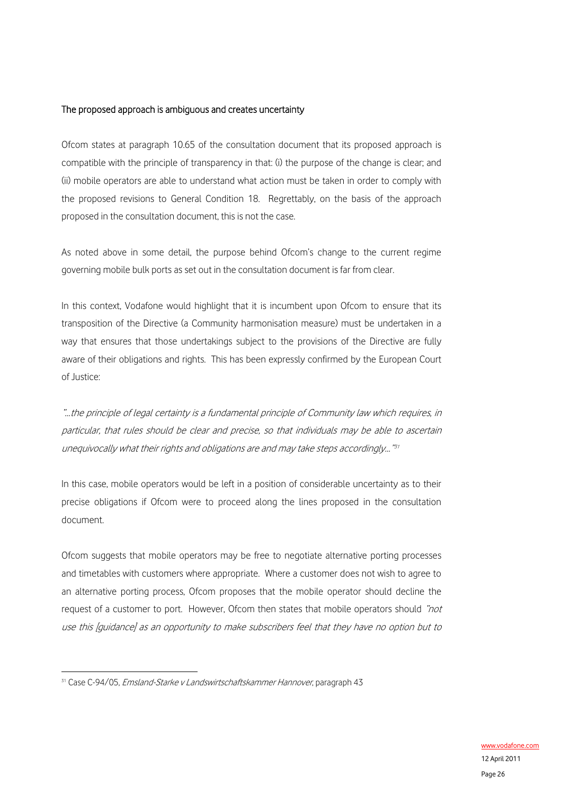#### The proposed approach is ambiguous and creates uncertainty

Ofcom states at paragraph 10.65 of the consultation document that its proposed approach is compatible with the principle of transparency in that: (i) the purpose of the change is clear; and (ii) mobile operators are able to understand what action must be taken in order to comply with the proposed revisions to General Condition 18. Regrettably, on the basis of the approach proposed in the consultation document, this is not the case.

As noted above in some detail, the purpose behind Ofcom's change to the current regime governing mobile bulk ports as set out in the consultation document is far from clear.

In this context, Vodafone would highlight that it is incumbent upon Ofcom to ensure that its transposition of the Directive (a Community harmonisation measure) must be undertaken in a way that ensures that those undertakings subject to the provisions of the Directive are fully aware of their obligations and rights. This has been expressly confirmed by the European Court of Justice:

"…the principle of legal certainty is a fundamental principle of Community law which requires, in particular, that rules should be clear and precise, so that individuals may be able to ascertain unequivocally what their rights and obligations are and may take steps accordingly..." $31$ 

In this case, mobile operators would be left in a position of considerable uncertainty as to their precise obligations if Ofcom were to proceed along the lines proposed in the consultation document.

Ofcom suggests that mobile operators may be free to negotiate alternative porting processes and timetables with customers where appropriate. Where a customer does not wish to agree to an alternative porting process, Ofcom proposes that the mobile operator should decline the request of a customer to port. However, Ofcom then states that mobile operators should "not use this [guidance] as an opportunity to make subscribers feel that they have no option but to

<span id="page-25-0"></span><sup>&</sup>lt;sup>31</sup> Case C-94/05, *Emsland-Starke v Landswirtschaftskammer Hannover*, paragraph 43